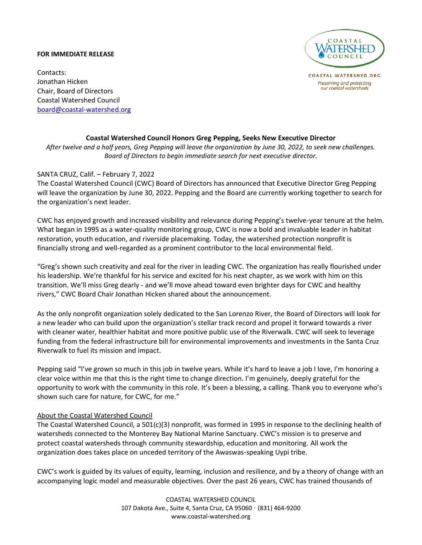## **FOR IMMEDIATE RELEASE**



COASTAL-WATERSHED.ORG Preserving and protecting our coastal watersheds

Contacts: Jonathan Hicken Chair, Board of Directors Coastal Watershed Council [board@coastal-watershed.org](mailto:board@coastal-watershed.org)

## **Coastal Watershed Council Honors Greg Pepping, Seeks New Executive Director**

*After twelve and a half years, Greg Pepping will leave the organization by June 30, 2022, to seek new challenges. Board of Directors to begin immediate search for next executive director.*

## SANTA CRUZ, Calif. – February 7, 2022

The Coastal Watershed Council (CWC) Board of Directors has announced that Executive Director Greg Pepping will leave the organization by June 30, 2022. Pepping and the Board are currently working together to search for the organization's next leader.

CWC has enjoyed growth and increased visibility and relevance during Pepping's twelve-year tenure at the helm. What began in 1995 as a water-quality monitoring group, CWC is now a bold and invaluable leader in habitat restoration, youth education, and riverside placemaking. Today, the watershed protection nonprofit is financially strong and well-regarded as a prominent contributor to the local environmental field.

"Greg's shown such creativity and zeal for the river in leading CWC. The organization has really flourished under his leadership. We're thankful for his service and excited for his next chapter, as we work with him on this transition. We'll miss Greg dearly - and we'll move ahead toward even brighter days for CWC and healthy rivers," CWC Board Chair Jonathan Hicken shared about the announcement.

As the only nonprofit organization solely dedicated to the San Lorenzo River, the Board of Directors will look for a new leader who can build upon the organization's stellar track record and propel it forward towards a river with cleaner water, healthier habitat and more positive public use of the Riverwalk. CWC will seek to leverage funding from the federal infrastructure bill for environmental improvements and investments in the Santa Cruz Riverwalk to fuel its mission and impact.

Pepping said "I've grown so much in this job in twelve years. While it's hard to leave a job I love, I'm honoring a clear voice within me that this is the right time to change direction. I'm genuinely, deeply grateful for the opportunity to work with the community in this role. It's been a blessing, a calling. Thank you to everyone who's shown such care for nature, for CWC, for me."

## About the Coastal Watershed Council

The Coastal Watershed Council, a 501(c)(3) nonprofit, was formed in 1995 in response to the declining health of watersheds connected to the Monterey Bay National Marine Sanctuary. CWC's mission is to preserve and protect coastal watersheds through community stewardship, education and monitoring. All work the organization does takes place on unceded territory of the Awaswas-speaking Uypi tribe.

CWC's work is guided by its values of equity, learning, inclusion and resilience, and by a theory of change with an accompanying logic model and measurable objectives. Over the past 26 years, CWC has trained thousands of

> COASTAL WATERSHED COUNCIL 107 Dakota Ave., Suite 4, Santa Cruz, CA 95060 · (831) 464-9200 www.coastal-watershed.org